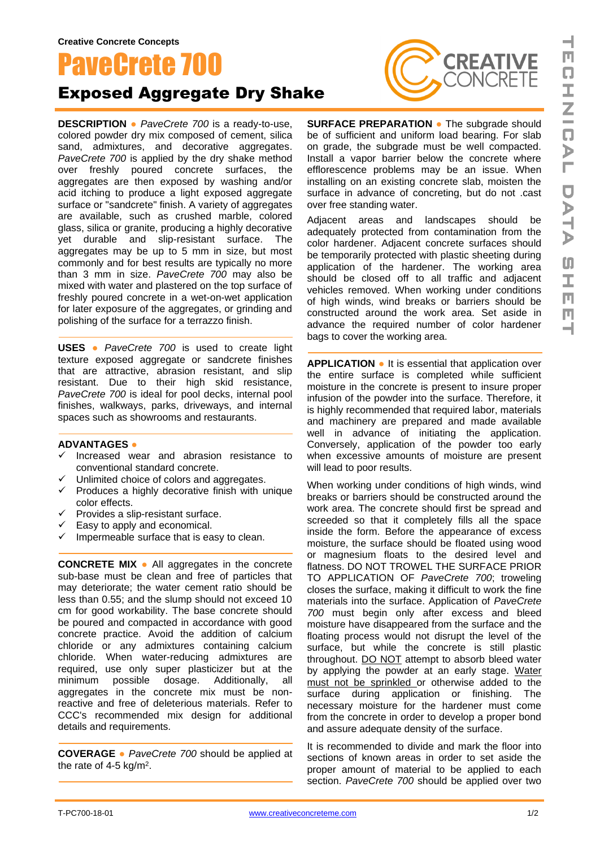## PaveCrete 700 Exposed Aggregate Dry Shake

**DESCRIPTION ●** *PaveCrete 700* is a ready-to-use, colored powder dry mix composed of cement, silica sand, admixtures, and decorative aggregates. *PaveCrete 700* is applied by the dry shake method over freshly poured concrete surfaces, the aggregates are then exposed by washing and/or acid itching to produce a light exposed aggregate surface or "sandcrete" finish. A variety of aggregates are available, such as crushed marble, colored glass, silica or granite, producing a highly decorative yet durable and slip-resistant surface. The aggregates may be up to 5 mm in size, but most commonly and for best results are typically no more than 3 mm in size. *PaveCrete 700* may also be mixed with water and plastered on the top surface of freshly poured concrete in a wet-on-wet application for later exposure of the aggregates, or grinding and polishing of the surface for a terrazzo finish.

**USES ●** *PaveCrete 700* is used to create light texture exposed aggregate or sandcrete finishes that are attractive, abrasion resistant, and slip resistant. Due to their high skid resistance, *PaveCrete 700* is ideal for pool decks, internal pool finishes, walkways, parks, driveways, and internal spaces such as showrooms and restaurants.

## **ADVANTAGES ●**

- Increased wear and abrasion resistance to conventional standard concrete.
- ✓ Unlimited choice of colors and aggregates.
- ✓ Produces a highly decorative finish with unique color effects.
- **✓ Provides a slip-resistant surface.**<br>✓ Easy to apply and economical
- Easy to apply and economical.
- $\checkmark$  Impermeable surface that is easy to clean.

**CONCRETE MIX ●** All aggregates in the concrete sub-base must be clean and free of particles that may deteriorate; the water cement ratio should be less than 0.55; and the slump should not exceed 10 cm for good workability. The base concrete should be poured and compacted in accordance with good concrete practice. Avoid the addition of calcium chloride or any admixtures containing calcium chloride. When water-reducing admixtures are required, use only super plasticizer but at the minimum possible dosage. Additionally, all aggregates in the concrete mix must be nonreactive and free of deleterious materials. Refer to CCC's recommended mix design for additional details and requirements.

**COVERAGE ●** *PaveCrete 700* should be applied at the rate of 4-5 kg/m<sup>2</sup>.



**SURFACE PREPARATION ●** The subgrade should be of sufficient and uniform load bearing. For slab on grade, the subgrade must be well compacted. Install a vapor barrier below the concrete where efflorescence problems may be an issue. When installing on an existing concrete slab, moisten the surface in advance of concreting, but do not .cast over free standing water.

Adjacent areas and landscapes should be adequately protected from contamination from the color hardener. Adjacent concrete surfaces should be temporarily protected with plastic sheeting during application of the hardener. The working area should be closed off to all traffic and adjacent vehicles removed. When working under conditions of high winds, wind breaks or barriers should be constructed around the work area. Set aside in advance the required number of color hardener bags to cover the working area.

**APPLICATION ●** It is essential that application over the entire surface is completed while sufficient moisture in the concrete is present to insure proper infusion of the powder into the surface. Therefore, it is highly recommended that required labor, materials and machinery are prepared and made available well in advance of initiating the application. Conversely, application of the powder too early when excessive amounts of moisture are present will lead to poor results.

When working under conditions of high winds, wind breaks or barriers should be constructed around the work area. The concrete should first be spread and screeded so that it completely fills all the space inside the form. Before the appearance of excess moisture, the surface should be floated using wood or magnesium floats to the desired level and flatness. DO NOT TROWEL THE SURFACE PRIOR TO APPLICATION OF *PaveCrete 700*; troweling closes the surface, making it difficult to work the fine materials into the surface. Application of *PaveCrete 700* must begin only after excess and bleed moisture have disappeared from the surface and the floating process would not disrupt the level of the surface, but while the concrete is still plastic throughout. DO NOT attempt to absorb bleed water by applying the powder at an early stage. Water must not be sprinkled or otherwise added to the surface during application or finishing. The necessary moisture for the hardener must come from the concrete in order to develop a proper bond and assure adequate density of the surface.

It is recommended to divide and mark the floor into sections of known areas in order to set aside the proper amount of material to be applied to each section. *PaveCrete 700* should be applied over two